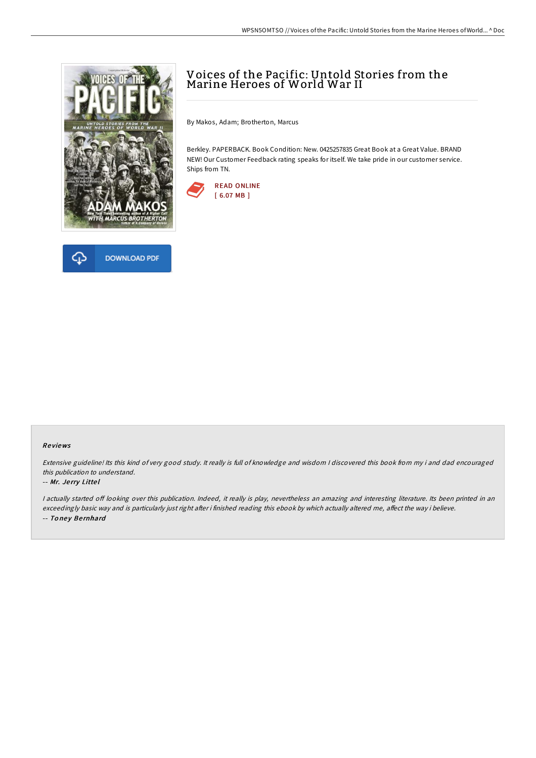



# Voices of the Pacific: Untold Stories from the Marine Heroes of World War II

By Makos, Adam; Brotherton, Marcus

Berkley. PAPERBACK. Book Condition: New. 0425257835 Great Book at a Great Value. BRAND NEW! Our Customer Feedback rating speaks for itself. We take pride in our customer service. Ships from TN.



### Re views

Extensive guideline! Its this kind of very good study. It really is full of knowledge and wisdom <sup>I</sup> discovered this book from my i and dad encouraged this publication to understand.

#### -- Mr. Je rry Litte l

I actually started off looking over this publication. Indeed, it really is play, nevertheless an amazing and interesting literature. Its been printed in an exceedingly basic way and is particularly just right after i finished reading this ebook by which actually altered me, affect the way i believe. -- Toney Bernhard